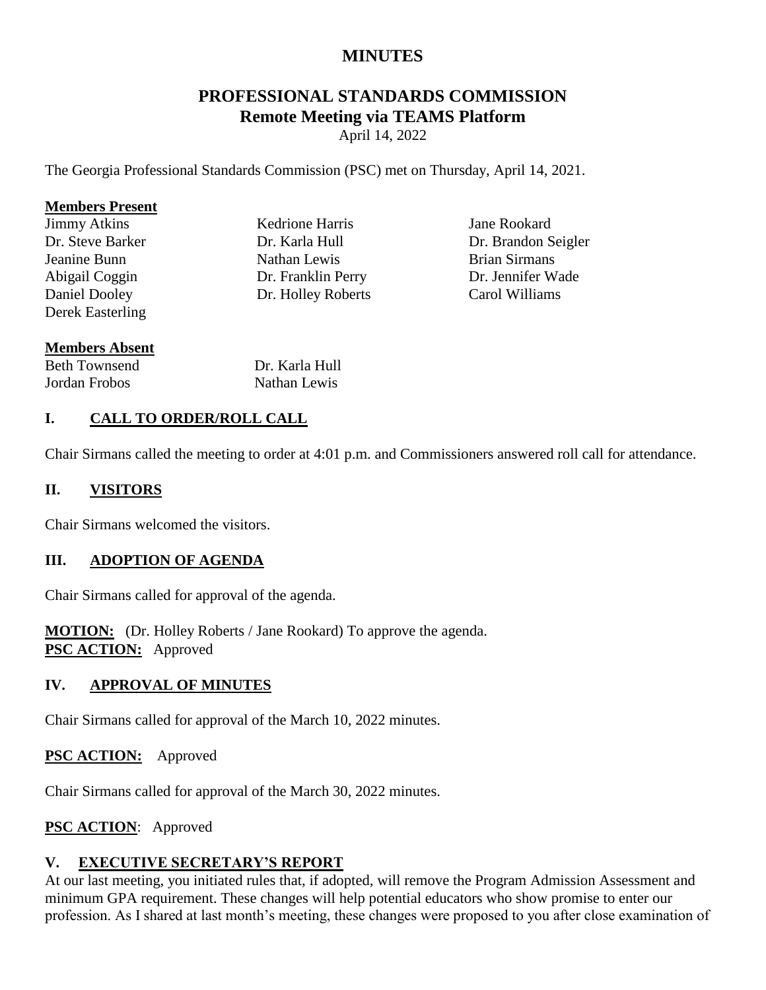# **MINUTES**

# **PROFESSIONAL STANDARDS COMMISSION Remote Meeting via TEAMS Platform**

April 14, 2022

The Georgia Professional Standards Commission (PSC) met on Thursday, April 14, 2021.

#### **Members Present**

Jimmy Atkins Dr. Steve Barker Jeanine Bunn Abigail Coggin Daniel Dooley Derek Easterling Kedrione Harris Dr. Karla Hull Nathan Lewis Dr. Franklin Perry Dr. Holley Roberts

Jane Rookard Dr. Brandon Seigler Brian Sirmans Dr. Jennifer Wade Carol Williams

#### **Members Absent**

| <b>Beth Townsend</b> | Dr. Karla Hull |
|----------------------|----------------|
| Jordan Frobos        | Nathan Lewis   |

## **I. CALL TO ORDER/ROLL CALL**

Chair Sirmans called the meeting to order at 4:01 p.m. and Commissioners answered roll call for attendance.

## **II. VISITORS**

Chair Sirmans welcomed the visitors.

#### **III. ADOPTION OF AGENDA**

Chair Sirmans called for approval of the agenda.

**MOTION:** (Dr. Holley Roberts / Jane Rookard) To approve the agenda. **PSC ACTION:** Approved

#### **IV. APPROVAL OF MINUTES**

Chair Sirmans called for approval of the March 10, 2022 minutes.

#### **PSC ACTION:** Approved

Chair Sirmans called for approval of the March 30, 2022 minutes.

# **PSC ACTION**: Approved

#### **V. EXECUTIVE SECRETARY'S REPORT**

At our last meeting, you initiated rules that, if adopted, will remove the Program Admission Assessment and minimum GPA requirement. These changes will help potential educators who show promise to enter our profession. As I shared at last month's meeting, these changes were proposed to you after close examination of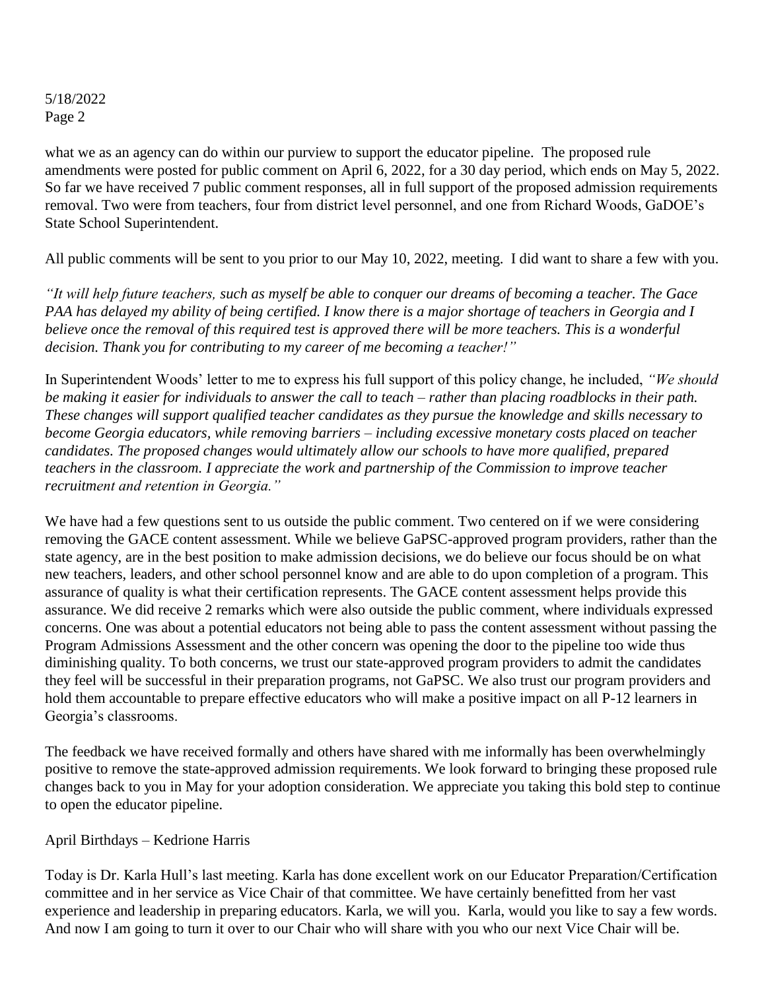what we as an agency can do within our purview to support the educator pipeline. The proposed rule amendments were posted for public comment on April 6, 2022, for a 30 day period, which ends on May 5, 2022. So far we have received 7 public comment responses, all in full support of the proposed admission requirements removal. Two were from teachers, four from district level personnel, and one from Richard Woods, GaDOE's State School Superintendent.

All public comments will be sent to you prior to our May 10, 2022, meeting. I did want to share a few with you.

*"It will help future teachers, such as myself be able to conquer our dreams of becoming a teacher. The Gace PAA has delayed my ability of being certified. I know there is a major shortage of teachers in Georgia and I believe once the removal of this required test is approved there will be more teachers. This is a wonderful decision. Thank you for contributing to my career of me becoming a teacher!"* 

In Superintendent Woods' letter to me to express his full support of this policy change, he included, *"We should be making it easier for individuals to answer the call to teach – rather than placing roadblocks in their path. These changes will support qualified teacher candidates as they pursue the knowledge and skills necessary to become Georgia educators, while removing barriers – including excessive monetary costs placed on teacher candidates. The proposed changes would ultimately allow our schools to have more qualified, prepared teachers in the classroom. I appreciate the work and partnership of the Commission to improve teacher recruitment and retention in Georgia."*

We have had a few questions sent to us outside the public comment. Two centered on if we were considering removing the GACE content assessment. While we believe GaPSC-approved program providers, rather than the state agency, are in the best position to make admission decisions, we do believe our focus should be on what new teachers, leaders, and other school personnel know and are able to do upon completion of a program. This assurance of quality is what their certification represents. The GACE content assessment helps provide this assurance. We did receive 2 remarks which were also outside the public comment, where individuals expressed concerns. One was about a potential educators not being able to pass the content assessment without passing the Program Admissions Assessment and the other concern was opening the door to the pipeline too wide thus diminishing quality. To both concerns, we trust our state-approved program providers to admit the candidates they feel will be successful in their preparation programs, not GaPSC. We also trust our program providers and hold them accountable to prepare effective educators who will make a positive impact on all P-12 learners in Georgia's classrooms.

The feedback we have received formally and others have shared with me informally has been overwhelmingly positive to remove the state-approved admission requirements. We look forward to bringing these proposed rule changes back to you in May for your adoption consideration. We appreciate you taking this bold step to continue to open the educator pipeline.

#### April Birthdays – Kedrione Harris

Today is Dr. Karla Hull's last meeting. Karla has done excellent work on our Educator Preparation/Certification committee and in her service as Vice Chair of that committee. We have certainly benefitted from her vast experience and leadership in preparing educators. Karla, we will you. Karla, would you like to say a few words. And now I am going to turn it over to our Chair who will share with you who our next Vice Chair will be.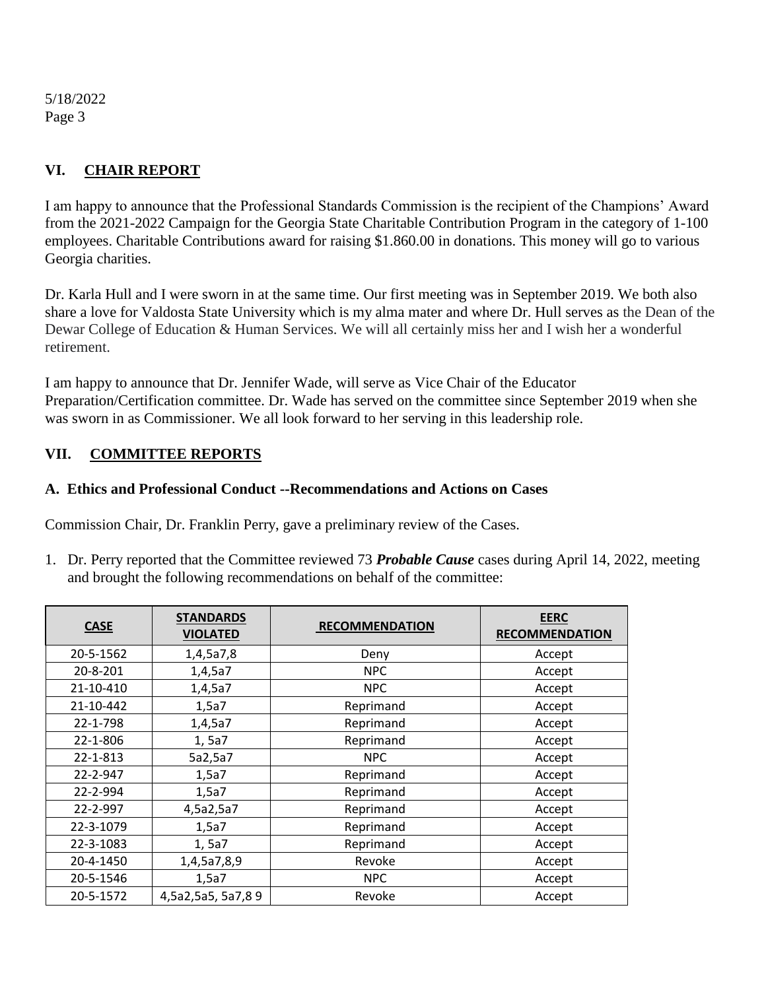# **VI. CHAIR REPORT**

I am happy to announce that the Professional Standards Commission is the recipient of the Champions' Award from the 2021-2022 Campaign for the Georgia State Charitable Contribution Program in the category of 1-100 employees. Charitable Contributions award for raising \$1.860.00 in donations. This money will go to various Georgia charities.

Dr. Karla Hull and I were sworn in at the same time. Our first meeting was in September 2019. We both also share a love for Valdosta State University which is my alma mater and where Dr. Hull serves as the Dean of the Dewar College of Education & Human Services. We will all certainly miss her and I wish her a wonderful retirement.

I am happy to announce that Dr. Jennifer Wade, will serve as Vice Chair of the Educator Preparation/Certification committee. Dr. Wade has served on the committee since September 2019 when she was sworn in as Commissioner. We all look forward to her serving in this leadership role.

## **VII. COMMITTEE REPORTS**

#### **A. Ethics and Professional Conduct --Recommendations and Actions on Cases**

Commission Chair, Dr. Franklin Perry, gave a preliminary review of the Cases.

1. Dr. Perry reported that the Committee reviewed 73 *Probable Cause* cases during April 14, 2022, meeting and brought the following recommendations on behalf of the committee:

| <b>CASE</b> | <b>STANDARDS</b><br><b>VIOLATED</b> | <b>RECOMMENDATION</b> | <b>EERC</b><br><b>RECOMMENDATION</b> |
|-------------|-------------------------------------|-----------------------|--------------------------------------|
| 20-5-1562   | 1,4,5a7,8                           | Deny                  | Accept                               |
| 20-8-201    | 1,4,5a7                             | <b>NPC</b>            | Accept                               |
| 21-10-410   | 1,4,5a7                             | <b>NPC</b>            | Accept                               |
| 21-10-442   | 1,5a7                               | Reprimand             | Accept                               |
| 22-1-798    | 1,4,5a7                             | Reprimand             | Accept                               |
| 22-1-806    | 1,5a7                               | Reprimand             | Accept                               |
| 22-1-813    | 5a2,5a7                             | <b>NPC</b>            | Accept                               |
| 22-2-947    | 1,5a7                               | Reprimand             | Accept                               |
| 22-2-994    | 1,5a7                               | Reprimand             | Accept                               |
| 22-2-997    | 4,5a2,5a7                           | Reprimand             | Accept                               |
| 22-3-1079   | 1,5a7                               | Reprimand             | Accept                               |
| 22-3-1083   | 1,5a7                               | Reprimand             | Accept                               |
| 20-4-1450   | 1,4,5a7,8,9                         | Revoke                | Accept                               |
| 20-5-1546   | 1,5a7                               | <b>NPC</b>            | Accept                               |
| 20-5-1572   | 4,5a2,5a5, 5a7,89                   | Revoke                | Accept                               |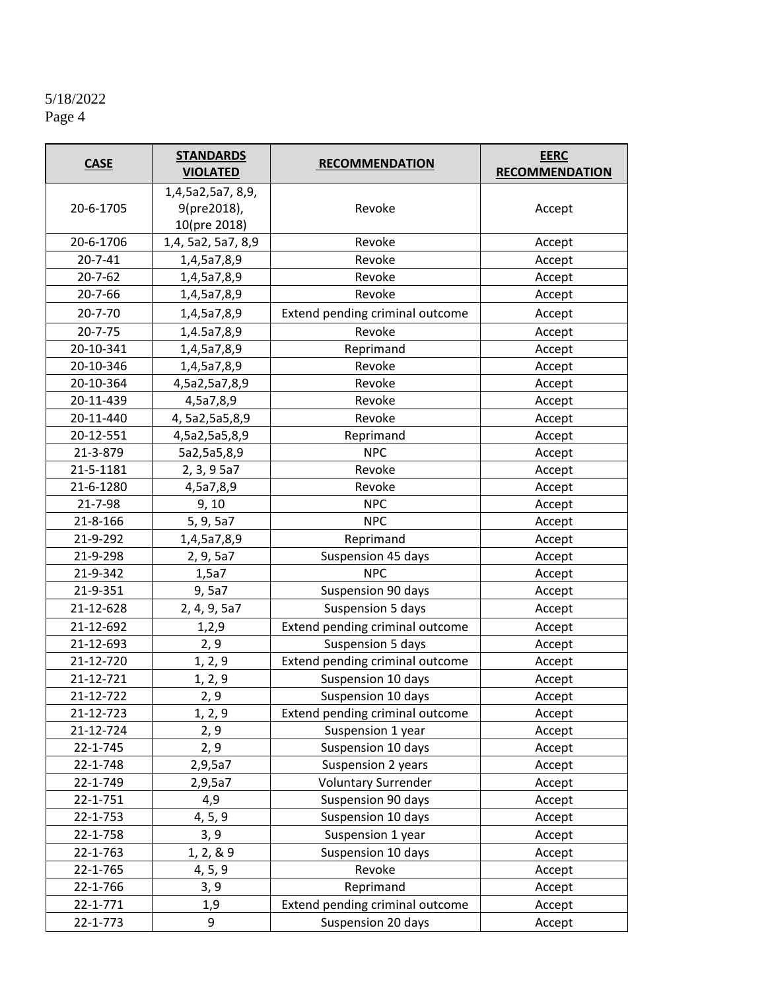| <b>CASE</b>    | <b>STANDARDS</b><br><b>VIOLATED</b>              | <b>RECOMMENDATION</b>           | <b>EERC</b><br><b>RECOMMENDATION</b> |
|----------------|--------------------------------------------------|---------------------------------|--------------------------------------|
| 20-6-1705      | 1,4,5a2,5a7, 8,9,<br>9(pre2018),<br>10(pre 2018) | Revoke                          | Accept                               |
| 20-6-1706      | 1,4, 5a2, 5a7, 8,9                               | Revoke                          | Accept                               |
| $20 - 7 - 41$  | 1,4,5a7,8,9                                      | Revoke                          | Accept                               |
| $20 - 7 - 62$  | 1,4,5a7,8,9                                      | Revoke                          | Accept                               |
| $20 - 7 - 66$  | 1,4,5a7,8,9                                      | Revoke                          | Accept                               |
| $20 - 7 - 70$  | 1,4,5a7,8,9                                      | Extend pending criminal outcome | Accept                               |
| $20 - 7 - 75$  | 1,4.5a7,8,9                                      | Revoke                          | Accept                               |
| 20-10-341      | 1,4,5a7,8,9                                      | Reprimand                       | Accept                               |
| 20-10-346      | 1,4,5a7,8,9                                      | Revoke                          | Accept                               |
| 20-10-364      | 4,5a2,5a7,8,9                                    | Revoke                          | Accept                               |
| 20-11-439      | 4,5a7,8,9                                        | Revoke                          | Accept                               |
| 20-11-440      | 4, 5a2, 5a5, 8, 9                                | Revoke                          | Accept                               |
| 20-12-551      | 4,5a2,5a5,8,9                                    | Reprimand                       | Accept                               |
| 21-3-879       | 5a2,5a5,8,9                                      | <b>NPC</b>                      | Accept                               |
| 21-5-1181      | 2, 3, 9 5a7                                      | Revoke                          | Accept                               |
| 21-6-1280      | 4,5a7,8,9                                        | Revoke                          | Accept                               |
| 21-7-98        | 9, 10                                            | <b>NPC</b>                      | Accept                               |
| 21-8-166       | 5, 9, 5a7                                        | <b>NPC</b>                      | Accept                               |
| 21-9-292       | 1,4,5a7,8,9                                      | Reprimand                       | Accept                               |
| 21-9-298       | 2, 9, 5a7                                        | Suspension 45 days              | Accept                               |
| 21-9-342       | 1,5a7                                            | <b>NPC</b>                      | Accept                               |
| 21-9-351       | 9, 5a7                                           | Suspension 90 days              | Accept                               |
| 21-12-628      | 2, 4, 9, 5a7                                     | Suspension 5 days               | Accept                               |
| 21-12-692      | 1,2,9                                            | Extend pending criminal outcome | Accept                               |
| 21-12-693      | 2, 9                                             | Suspension 5 days               | Accept                               |
| 21-12-720      | 1, 2, 9                                          | Extend pending criminal outcome | Accept                               |
| 21-12-721      | 1, 2, 9                                          | Suspension 10 days              | Accept                               |
| 21-12-722      | 2, 9                                             | Suspension 10 days              | Accept                               |
| 21-12-723      | 1, 2, 9                                          | Extend pending criminal outcome | Accept                               |
| 21-12-724      | 2, 9                                             | Suspension 1 year               | Accept                               |
| 22-1-745       | 2, 9                                             | Suspension 10 days              | Accept                               |
| 22-1-748       | 2,9,5a7                                          | Suspension 2 years              | Accept                               |
| 22-1-749       | 2,9,5a7                                          | <b>Voluntary Surrender</b>      | Accept                               |
| 22-1-751       | 4,9                                              | Suspension 90 days              | Accept                               |
| 22-1-753       | 4, 5, 9                                          | Suspension 10 days              | Accept                               |
| 22-1-758       | 3, 9                                             | Suspension 1 year               | Accept                               |
| 22-1-763       | 1, 2, 8, 9                                       | Suspension 10 days              | Accept                               |
| 22-1-765       | 4, 5, 9                                          | Revoke                          | Accept                               |
| 22-1-766       | 3, 9                                             | Reprimand                       | Accept                               |
| $22 - 1 - 771$ | 1,9                                              | Extend pending criminal outcome | Accept                               |
| 22-1-773       | 9                                                | Suspension 20 days              | Accept                               |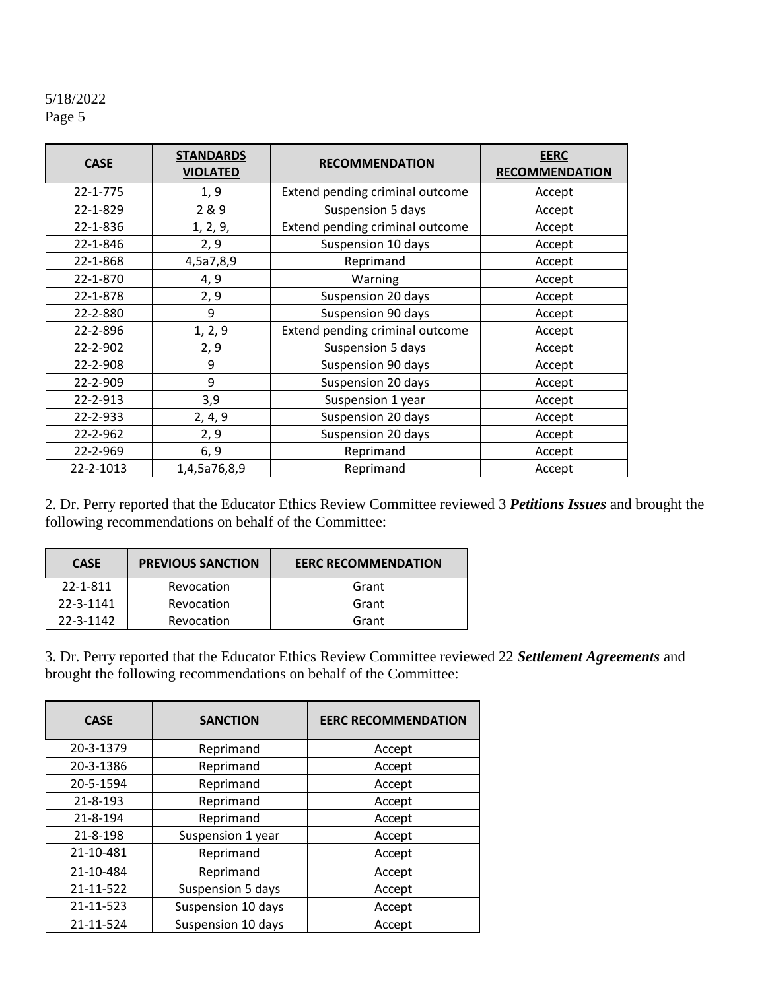| <b>CASE</b> | <b>STANDARDS</b><br><b>VIOLATED</b> | <b>RECOMMENDATION</b>           | <b>EERC</b><br><b>RECOMMENDATION</b> |
|-------------|-------------------------------------|---------------------------------|--------------------------------------|
| 22-1-775    | 1, 9                                | Extend pending criminal outcome | Accept                               |
| 22-1-829    | 2 & 9                               | Suspension 5 days               | Accept                               |
| 22-1-836    | 1, 2, 9,                            | Extend pending criminal outcome | Accept                               |
| 22-1-846    | 2, 9                                | Suspension 10 days              | Accept                               |
| 22-1-868    | 4,5a7,8,9                           | Reprimand                       | Accept                               |
| 22-1-870    | 4, 9                                | Warning                         | Accept                               |
| 22-1-878    | 2, 9                                | Suspension 20 days              | Accept                               |
| 22-2-880    | 9                                   | Suspension 90 days              | Accept                               |
| 22-2-896    | 1, 2, 9                             | Extend pending criminal outcome | Accept                               |
| 22-2-902    | 2, 9                                | Suspension 5 days               | Accept                               |
| 22-2-908    | 9                                   | Suspension 90 days              | Accept                               |
| 22-2-909    | 9                                   | Suspension 20 days              | Accept                               |
| 22-2-913    | 3,9                                 | Suspension 1 year               | Accept                               |
| 22-2-933    | 2, 4, 9                             | Suspension 20 days              | Accept                               |
| 22-2-962    | 2, 9                                | Suspension 20 days              | Accept                               |
| 22-2-969    | 6, 9                                | Reprimand                       | Accept                               |
| 22-2-1013   | 1,4,5a76,8,9                        | Reprimand                       | Accept                               |

2. Dr. Perry reported that the Educator Ethics Review Committee reviewed 3 *Petitions Issues* and brought the following recommendations on behalf of the Committee:

| <b>CASE</b> | <b>PREVIOUS SANCTION</b> | <b>EERC RECOMMENDATION</b> |
|-------------|--------------------------|----------------------------|
| 22-1-811    | Revocation               | Grant                      |
| 22-3-1141   | Revocation               | Grant                      |
| 22-3-1142   | Revocation               | Grant                      |

3. Dr. Perry reported that the Educator Ethics Review Committee reviewed 22 *Settlement Agreements* and brought the following recommendations on behalf of the Committee:

| <b>CASE</b> | <b>SANCTION</b>    | <b>EERC RECOMMENDATION</b> |
|-------------|--------------------|----------------------------|
| 20-3-1379   | Reprimand          | Accept                     |
| 20-3-1386   | Reprimand          | Accept                     |
| 20-5-1594   | Reprimand          | Accept                     |
| 21-8-193    | Reprimand          | Accept                     |
| 21-8-194    | Reprimand          | Accept                     |
| 21-8-198    | Suspension 1 year  | Accept                     |
| 21-10-481   | Reprimand          | Accept                     |
| 21-10-484   | Reprimand          | Accept                     |
| 21-11-522   | Suspension 5 days  | Accept                     |
| 21-11-523   | Suspension 10 days | Accept                     |
| 21-11-524   | Suspension 10 days | Accept                     |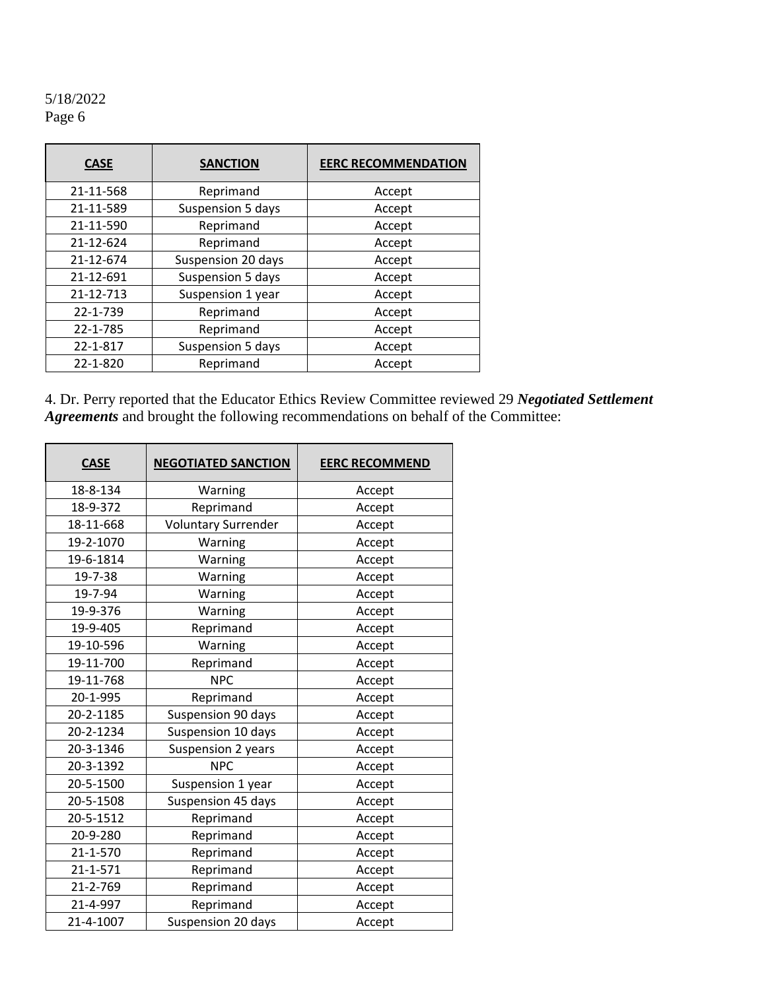| <b>CASE</b> | <b>SANCTION</b>    | <b>EERC RECOMMENDATION</b> |  |
|-------------|--------------------|----------------------------|--|
| 21-11-568   | Reprimand          | Accept                     |  |
| 21-11-589   | Suspension 5 days  | Accept                     |  |
| 21-11-590   | Reprimand          | Accept                     |  |
| 21-12-624   | Reprimand          | Accept                     |  |
| 21-12-674   | Suspension 20 days | Accept                     |  |
| 21-12-691   | Suspension 5 days  | Accept                     |  |
| 21-12-713   | Suspension 1 year  | Accept                     |  |
| 22-1-739    | Reprimand          | Accept                     |  |
| 22-1-785    | Reprimand          | Accept                     |  |
| 22-1-817    | Suspension 5 days  | Accept                     |  |
| 22-1-820    | Reprimand          | Accept                     |  |

4. Dr. Perry reported that the Educator Ethics Review Committee reviewed 29 *Negotiated Settlement Agreements* and brought the following recommendations on behalf of the Committee:

| <b>CASE</b>    | <b>NEGOTIATED SANCTION</b>   | <b>EERC RECOMMEND</b> |  |  |
|----------------|------------------------------|-----------------------|--|--|
| 18-8-134       | Warning                      | Accept                |  |  |
| 18-9-372       | Reprimand                    | Accept                |  |  |
| 18-11-668      | <b>Voluntary Surrender</b>   | Accept                |  |  |
| 19-2-1070      | Warning                      | Accept                |  |  |
| 19-6-1814      | Warning                      | Accept                |  |  |
| 19-7-38        | Warning                      | Accept                |  |  |
| 19-7-94        | Warning                      | Accept                |  |  |
| 19-9-376       | Warning                      | Accept                |  |  |
| 19-9-405       | Reprimand                    | Accept                |  |  |
| 19-10-596      | Warning                      | Accept                |  |  |
| 19-11-700      | Reprimand                    | Accept                |  |  |
| 19-11-768      | <b>NPC</b><br>Accept         |                       |  |  |
| 20-1-995       | Reprimand<br>Accept          |                       |  |  |
| 20-2-1185      | Suspension 90 days<br>Accept |                       |  |  |
| 20-2-1234      | Suspension 10 days<br>Accept |                       |  |  |
| 20-3-1346      | Suspension 2 years<br>Accept |                       |  |  |
| 20-3-1392      | <b>NPC</b>                   | Accept                |  |  |
| 20-5-1500      | Suspension 1 year            | Accept                |  |  |
| 20-5-1508      | Suspension 45 days           | Accept                |  |  |
| 20-5-1512      | Reprimand                    | Accept                |  |  |
| 20-9-280       | Reprimand                    | Accept                |  |  |
| 21-1-570       | Reprimand<br>Accept          |                       |  |  |
| $21 - 1 - 571$ | Reprimand<br>Accept          |                       |  |  |
| 21-2-769       | Reprimand                    | Accept                |  |  |
| 21-4-997       | Reprimand                    | Accept                |  |  |
| 21-4-1007      | Suspension 20 days<br>Accept |                       |  |  |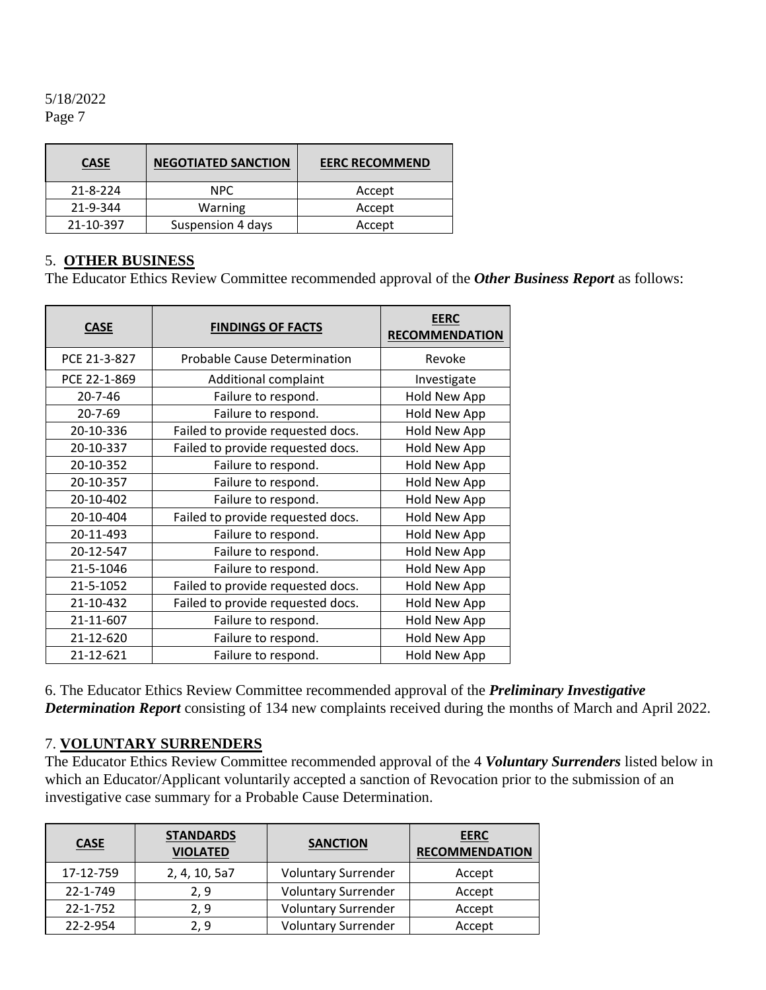| <b>CASE</b> | <b>NEGOTIATED SANCTION</b> | <b>EERC RECOMMEND</b> |
|-------------|----------------------------|-----------------------|
| 21-8-224    | <b>NPC</b>                 | Accept                |
| 21-9-344    | Warning                    | Accept                |
| 21-10-397   | Suspension 4 days          | Accept                |

#### 5. **OTHER BUSINESS**

The Educator Ethics Review Committee recommended approval of the *Other Business Report* as follows:

| <b>CASE</b>   | <b>FINDINGS OF FACTS</b>            | <b>EERC</b><br><b>RECOMMENDATION</b> |
|---------------|-------------------------------------|--------------------------------------|
| PCE 21-3-827  | <b>Probable Cause Determination</b> | Revoke                               |
| PCE 22-1-869  | Additional complaint                | Investigate                          |
| 20-7-46       | Failure to respond.                 | Hold New App                         |
| $20 - 7 - 69$ | Failure to respond.                 | Hold New App                         |
| 20-10-336     | Failed to provide requested docs.   | Hold New App                         |
| 20-10-337     | Failed to provide requested docs.   | Hold New App                         |
| 20-10-352     | Failure to respond.                 | Hold New App                         |
| 20-10-357     | Failure to respond.                 | Hold New App                         |
| 20-10-402     | Failure to respond.                 | Hold New App                         |
| 20-10-404     | Failed to provide requested docs.   | <b>Hold New App</b>                  |
| 20-11-493     | Failure to respond.                 | Hold New App                         |
| 20-12-547     | Failure to respond.                 | Hold New App                         |
| 21-5-1046     | Failure to respond.                 | Hold New App                         |
| 21-5-1052     | Failed to provide requested docs.   | Hold New App                         |
| 21-10-432     | Failed to provide requested docs.   | Hold New App                         |
| 21-11-607     | Failure to respond.                 | Hold New App                         |
| 21-12-620     | Failure to respond.                 | Hold New App                         |
| 21-12-621     | Failure to respond.                 | <b>Hold New App</b>                  |

6. The Educator Ethics Review Committee recommended approval of the *Preliminary Investigative Determination Report* consisting of 134 new complaints received during the months of March and April 2022.

#### 7. **VOLUNTARY SURRENDERS**

The Educator Ethics Review Committee recommended approval of the 4 *Voluntary Surrenders* listed below in which an Educator/Applicant voluntarily accepted a sanction of Revocation prior to the submission of an investigative case summary for a Probable Cause Determination.

| <b>CASE</b>    | <b>STANDARDS</b><br><b>VIOLATED</b> | <b>SANCTION</b>            | <b>EERC</b><br><b>RECOMMENDATION</b> |
|----------------|-------------------------------------|----------------------------|--------------------------------------|
| 17-12-759      | 2, 4, 10, 5a7                       | <b>Voluntary Surrender</b> | Accept                               |
| 22-1-749       | 2, 9                                | <b>Voluntary Surrender</b> | Accept                               |
| $22 - 1 - 752$ | 2, 9                                | <b>Voluntary Surrender</b> | Accept                               |
| 22-2-954       | 2, 9                                | <b>Voluntary Surrender</b> | Accept                               |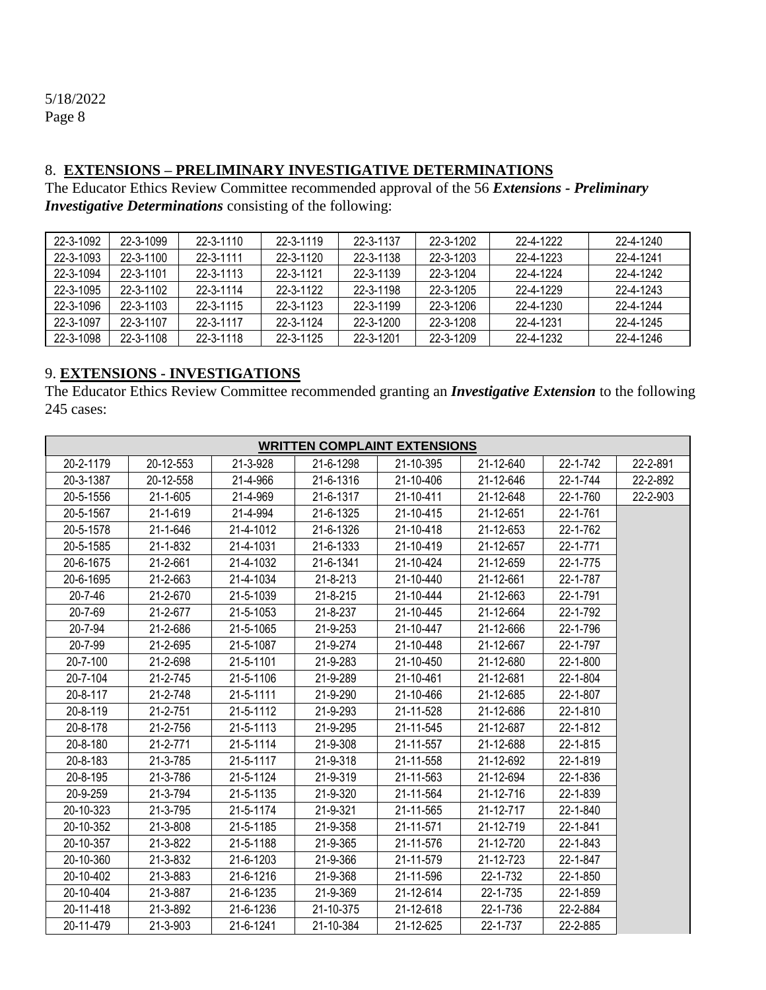#### 8. **EXTENSIONS – PRELIMINARY INVESTIGATIVE DETERMINATIONS**

The Educator Ethics Review Committee recommended approval of the 56 *Extensions - Preliminary Investigative Determinations* consisting of the following:

| 22-3-1092 | 22-3-1099 | 22-3-1110       | $22 - 3 - 1119$ | 22-3-1137       | 22-3-1202       | 22-4-1222 | 22-4-1240 |
|-----------|-----------|-----------------|-----------------|-----------------|-----------------|-----------|-----------|
| 22-3-1093 | 22-3-1100 | $22 - 3 - 1111$ | $22 - 3 - 1120$ | 22-3-1138       | 22-3-1203       | 22-4-1223 | 22-4-1241 |
| 22-3-1094 | 22-3-1101 | 22-3-1113       | 22-3-1121       | 22-3-1139       | 22-3-1204       | 22-4-1224 | 22-4-1242 |
| 22-3-1095 | 22-3-1102 | 22-3-1114       | 22-3-1122       | 22-3-1198       | 22-3-1205       | 22-4-1229 | 22-4-1243 |
| 22-3-1096 | 22-3-1103 | $22 - 3 - 1115$ | 22-3-1123       | 22-3-1199       | $22 - 3 - 1206$ | 22-4-1230 | 22-4-1244 |
| 22-3-1097 | 22-3-1107 | 22-3-1117       | 22-3-1124       | $22 - 3 - 1200$ | 22-3-1208       | 22-4-1231 | 22-4-1245 |
| 22-3-1098 | 22-3-1108 | $22 - 3 - 1118$ | $22 - 3 - 1125$ | 22-3-1201       | 22-3-1209       | 22-4-1232 | 22-4-1246 |

# 9. **EXTENSIONS - INVESTIGATIONS**

The Educator Ethics Review Committee recommended granting an *Investigative Extension* to the following 245 cases:

| <b>WRITTEN COMPLAINT EXTENSIONS</b> |                |           |           |           |           |          |          |  |
|-------------------------------------|----------------|-----------|-----------|-----------|-----------|----------|----------|--|
| 20-2-1179                           | 20-12-553      | 21-3-928  | 21-6-1298 | 21-10-395 | 21-12-640 | 22-1-742 | 22-2-891 |  |
| 20-3-1387                           | 20-12-558      | 21-4-966  | 21-6-1316 | 21-10-406 | 21-12-646 | 22-1-744 | 22-2-892 |  |
| 20-5-1556                           | $21 - 1 - 605$ | 21-4-969  | 21-6-1317 | 21-10-411 | 21-12-648 | 22-1-760 | 22-2-903 |  |
| 20-5-1567                           | 21-1-619       | 21-4-994  | 21-6-1325 | 21-10-415 | 21-12-651 | 22-1-761 |          |  |
| 20-5-1578                           | $21 - 1 - 646$ | 21-4-1012 | 21-6-1326 | 21-10-418 | 21-12-653 | 22-1-762 |          |  |
| 20-5-1585                           | $21 - 1 - 832$ | 21-4-1031 | 21-6-1333 | 21-10-419 | 21-12-657 | 22-1-771 |          |  |
| 20-6-1675                           | 21-2-661       | 21-4-1032 | 21-6-1341 | 21-10-424 | 21-12-659 | 22-1-775 |          |  |
| 20-6-1695                           | 21-2-663       | 21-4-1034 | 21-8-213  | 21-10-440 | 21-12-661 | 22-1-787 |          |  |
| $20 - 7 - 46$                       | 21-2-670       | 21-5-1039 | 21-8-215  | 21-10-444 | 21-12-663 | 22-1-791 |          |  |
| 20-7-69                             | 21-2-677       | 21-5-1053 | 21-8-237  | 21-10-445 | 21-12-664 | 22-1-792 |          |  |
| 20-7-94                             | 21-2-686       | 21-5-1065 | 21-9-253  | 21-10-447 | 21-12-666 | 22-1-796 |          |  |
| 20-7-99                             | 21-2-695       | 21-5-1087 | 21-9-274  | 21-10-448 | 21-12-667 | 22-1-797 |          |  |
| 20-7-100                            | 21-2-698       | 21-5-1101 | 21-9-283  | 21-10-450 | 21-12-680 | 22-1-800 |          |  |
| 20-7-104                            | $21 - 2 - 745$ | 21-5-1106 | 21-9-289  | 21-10-461 | 21-12-681 | 22-1-804 |          |  |
| 20-8-117                            | 21-2-748       | 21-5-1111 | 21-9-290  | 21-10-466 | 21-12-685 | 22-1-807 |          |  |
| $20 - 8 - 119$                      | 21-2-751       | 21-5-1112 | 21-9-293  | 21-11-528 | 21-12-686 | 22-1-810 |          |  |
| 20-8-178                            | 21-2-756       | 21-5-1113 | 21-9-295  | 21-11-545 | 21-12-687 | 22-1-812 |          |  |
| 20-8-180                            | $21 - 2 - 771$ | 21-5-1114 | 21-9-308  | 21-11-557 | 21-12-688 | 22-1-815 |          |  |
| 20-8-183                            | 21-3-785       | 21-5-1117 | 21-9-318  | 21-11-558 | 21-12-692 | 22-1-819 |          |  |
| 20-8-195                            | 21-3-786       | 21-5-1124 | 21-9-319  | 21-11-563 | 21-12-694 | 22-1-836 |          |  |
| 20-9-259                            | 21-3-794       | 21-5-1135 | 21-9-320  | 21-11-564 | 21-12-716 | 22-1-839 |          |  |
| 20-10-323                           | 21-3-795       | 21-5-1174 | 21-9-321  | 21-11-565 | 21-12-717 | 22-1-840 |          |  |
| 20-10-352                           | 21-3-808       | 21-5-1185 | 21-9-358  | 21-11-571 | 21-12-719 | 22-1-841 |          |  |
| 20-10-357                           | 21-3-822       | 21-5-1188 | 21-9-365  | 21-11-576 | 21-12-720 | 22-1-843 |          |  |
| 20-10-360                           | 21-3-832       | 21-6-1203 | 21-9-366  | 21-11-579 | 21-12-723 | 22-1-847 |          |  |
| 20-10-402                           | 21-3-883       | 21-6-1216 | 21-9-368  | 21-11-596 | 22-1-732  | 22-1-850 |          |  |
| 20-10-404                           | 21-3-887       | 21-6-1235 | 21-9-369  | 21-12-614 | 22-1-735  | 22-1-859 |          |  |
| 20-11-418                           | 21-3-892       | 21-6-1236 | 21-10-375 | 21-12-618 | 22-1-736  | 22-2-884 |          |  |
| 20-11-479                           | 21-3-903       | 21-6-1241 | 21-10-384 | 21-12-625 | 22-1-737  | 22-2-885 |          |  |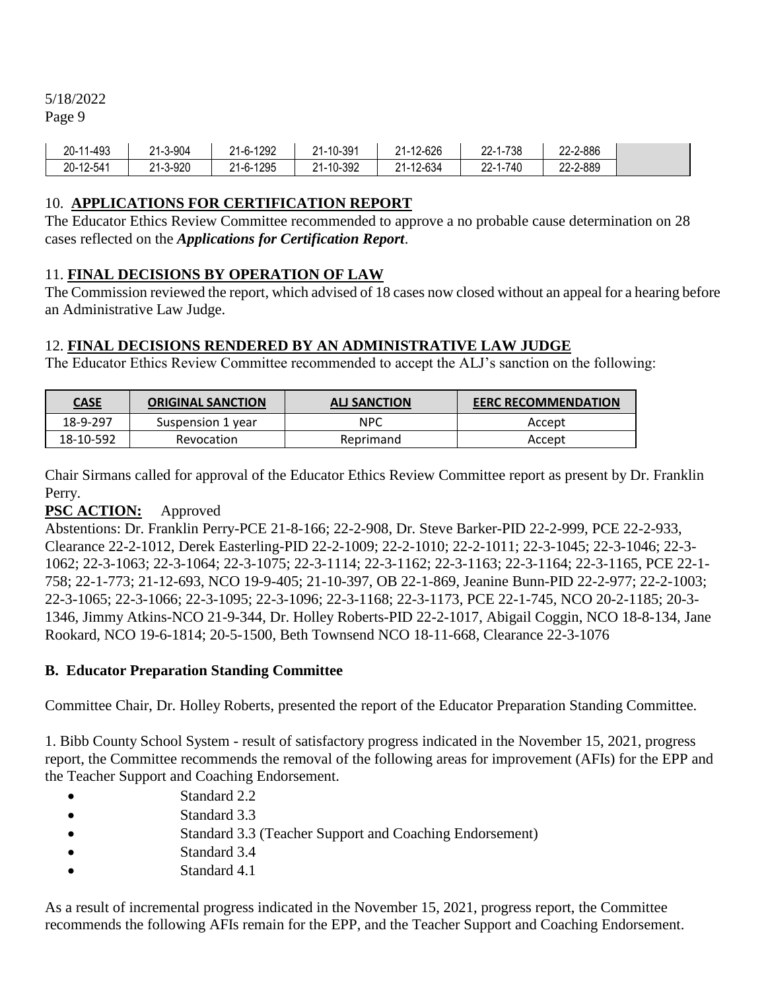5/18/2022

Page 9

| 20-11-493 | ∠1-3-904 | 21-6-1292 | 21-10-391 | 21-12-626 | 22-1-738 | 22-2-886 |
|-----------|----------|-----------|-----------|-----------|----------|----------|
| 20-12-541 | 21-3-920 | 21-6-1295 | 21-10-392 | 21-12-634 | 22-1-740 | 22-2-889 |

## 10. **APPLICATIONS FOR CERTIFICATION REPORT**

The Educator Ethics Review Committee recommended to approve a no probable cause determination on 28 cases reflected on the *Applications for Certification Report*.

#### 11. **FINAL DECISIONS BY OPERATION OF LAW**

The Commission reviewed the report, which advised of 18 cases now closed without an appeal for a hearing before an Administrative Law Judge.

## 12. **FINAL DECISIONS RENDERED BY AN ADMINISTRATIVE LAW JUDGE**

The Educator Ethics Review Committee recommended to accept the ALJ's sanction on the following:

| <u>CASE</u> | <b>ORIGINAL SANCTION</b> | <b>ALI SANCTION</b> | <b>EERC RECOMMENDATION</b> |
|-------------|--------------------------|---------------------|----------------------------|
| 18-9-297    | Suspension 1 year        | <b>NPC</b>          | Accept                     |
| 18-10-592   | Revocation               | Reprimand           | Accept                     |

Chair Sirmans called for approval of the Educator Ethics Review Committee report as present by Dr. Franklin Perry.

#### **PSC ACTION:** Approved

Abstentions: Dr. Franklin Perry-PCE 21-8-166; 22-2-908, Dr. Steve Barker-PID 22-2-999, PCE 22-2-933, Clearance 22-2-1012, Derek Easterling-PID 22-2-1009; 22-2-1010; 22-2-1011; 22-3-1045; 22-3-1046; 22-3- 1062; 22-3-1063; 22-3-1064; 22-3-1075; 22-3-1114; 22-3-1162; 22-3-1163; 22-3-1164; 22-3-1165, PCE 22-1- 758; 22-1-773; 21-12-693, NCO 19-9-405; 21-10-397, OB 22-1-869, Jeanine Bunn-PID 22-2-977; 22-2-1003; 22-3-1065; 22-3-1066; 22-3-1095; 22-3-1096; 22-3-1168; 22-3-1173, PCE 22-1-745, NCO 20-2-1185; 20-3- 1346, Jimmy Atkins-NCO 21-9-344, Dr. Holley Roberts-PID 22-2-1017, Abigail Coggin, NCO 18-8-134, Jane Rookard, NCO 19-6-1814; 20-5-1500, Beth Townsend NCO 18-11-668, Clearance 22-3-1076

#### **B. Educator Preparation Standing Committee**

Committee Chair, Dr. Holley Roberts, presented the report of the Educator Preparation Standing Committee.

1. Bibb County School System - result of satisfactory progress indicated in the November 15, 2021, progress report, the Committee recommends the removal of the following areas for improvement (AFIs) for the EPP and the Teacher Support and Coaching Endorsement.

- Standard 2.2
- Standard 3.3
- Standard 3.3 (Teacher Support and Coaching Endorsement)
- Standard 3.4
- Standard 4.1

As a result of incremental progress indicated in the November 15, 2021, progress report, the Committee recommends the following AFIs remain for the EPP, and the Teacher Support and Coaching Endorsement.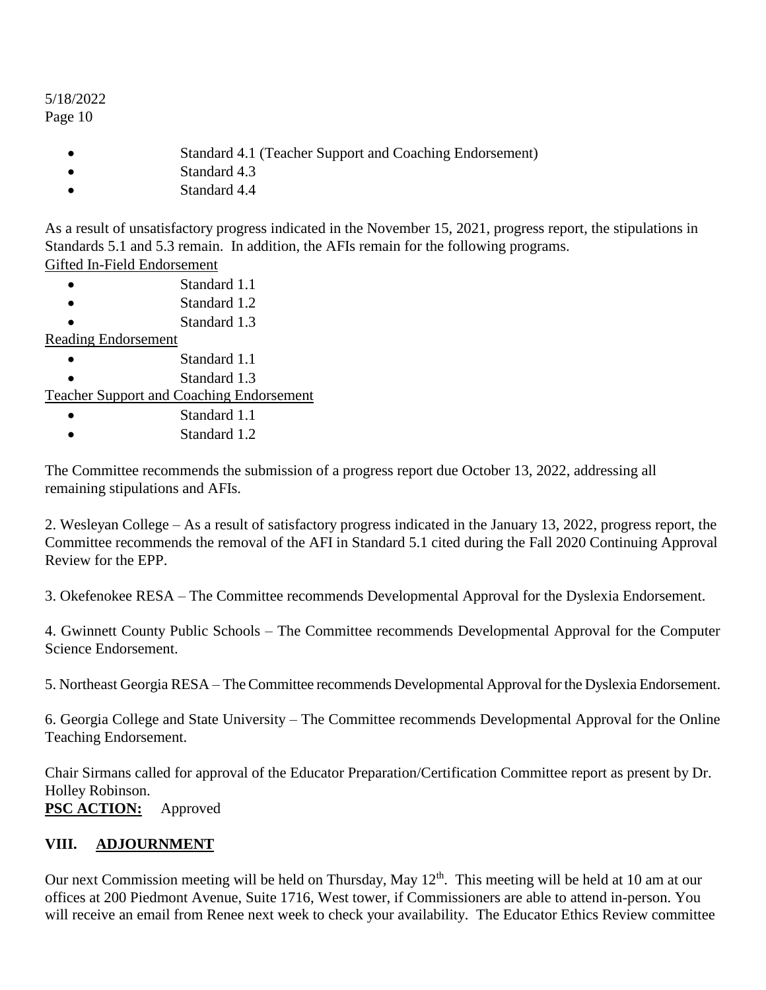- Standard 4.1 (Teacher Support and Coaching Endorsement)
- Standard 4.3
- Standard 4.4

As a result of unsatisfactory progress indicated in the November 15, 2021, progress report, the stipulations in Standards 5.1 and 5.3 remain. In addition, the AFIs remain for the following programs. Gifted In-Field Endorsement

- Standard 1.1
- Standard 1.2
- Standard 1.3

#### Reading Endorsement

- Standard 1.1
- Standard 1.3

Teacher Support and Coaching Endorsement

- Standard 1.1
- Standard 1.2

The Committee recommends the submission of a progress report due October 13, 2022, addressing all remaining stipulations and AFIs.

2. Wesleyan College – As a result of satisfactory progress indicated in the January 13, 2022, progress report, the Committee recommends the removal of the AFI in Standard 5.1 cited during the Fall 2020 Continuing Approval Review for the EPP.

3. Okefenokee RESA – The Committee recommends Developmental Approval for the Dyslexia Endorsement.

4. Gwinnett County Public Schools – The Committee recommends Developmental Approval for the Computer Science Endorsement.

5. Northeast Georgia RESA – The Committee recommends Developmental Approval for the Dyslexia Endorsement.

6. Georgia College and State University – The Committee recommends Developmental Approval for the Online Teaching Endorsement.

Chair Sirmans called for approval of the Educator Preparation/Certification Committee report as present by Dr. Holley Robinson.

**PSC ACTION:** Approved

# **VIII. ADJOURNMENT**

Our next Commission meeting will be held on Thursday, May  $12<sup>th</sup>$ . This meeting will be held at 10 am at our offices at 200 Piedmont Avenue, Suite 1716, West tower, if Commissioners are able to attend in-person. You will receive an email from Renee next week to check your availability. The Educator Ethics Review committee